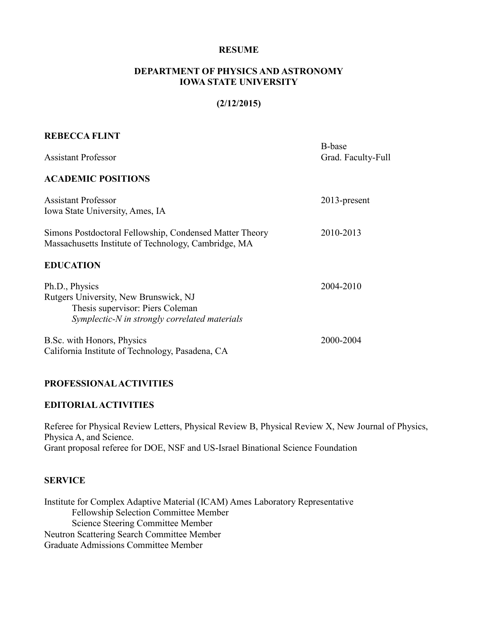#### **RESUME**

#### **DEPARTMENT OF PHYSICS AND ASTRONOMY IOWA STATE UNIVERSITY**

#### **(2/12/2015)**

## **REBECCA FLINT**

| <b>Assistant Professor</b>                                                                                                                   | B-base<br>Grad. Faculty-Full |
|----------------------------------------------------------------------------------------------------------------------------------------------|------------------------------|
| <b>ACADEMIC POSITIONS</b>                                                                                                                    |                              |
| <b>Assistant Professor</b><br>Iowa State University, Ames, IA                                                                                | $2013$ -present              |
| Simons Postdoctoral Fellowship, Condensed Matter Theory<br>Massachusetts Institute of Technology, Cambridge, MA                              | 2010-2013                    |
| <b>EDUCATION</b>                                                                                                                             |                              |
| Ph.D., Physics<br>Rutgers University, New Brunswick, NJ<br>Thesis supervisor: Piers Coleman<br>Symplectic-N in strongly correlated materials | 2004-2010                    |
| B.Sc. with Honors, Physics<br>California Institute of Technology, Pasadena, CA                                                               | 2000-2004                    |

#### **PROFESSIONAL ACTIVITIES**

#### **EDITORIAL ACTIVITIES**

Referee for Physical Review Letters, Physical Review B, Physical Review X, New Journal of Physics, Physica A, and Science. Grant proposal referee for DOE, NSF and US-Israel Binational Science Foundation

#### **SERVICE**

Institute for Complex Adaptive Material (ICAM) Ames Laboratory Representative Fellowship Selection Committee Member Science Steering Committee Member Neutron Scattering Search Committee Member Graduate Admissions Committee Member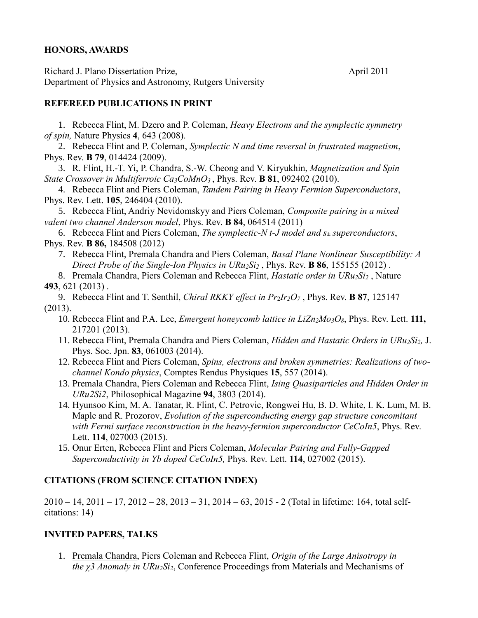## **HONORS, AWARDS**

Richard J. Plano Dissertation Prize, April 2011 Department of Physics and Astronomy, Rutgers University

## **REFEREED PUBLICATIONS IN PRINT**

1. Rebecca Flint, M. Dzero and P. Coleman, *Heavy Electrons and the symplectic symmetry of spin,* Nature Physics **4**, 643 (2008).

2. Rebecca Flint and P. Coleman, *Symplectic N and time reversal in frustrated magnetism*, Phys. Rev. **B 79**, 014424 (2009).

3. R. Flint, H.-T. Yi, P. Chandra, S.-W. Cheong and V. Kiryukhin, *Magnetization and Spin State Crossover in Multiferroic Ca3CoMnO3* , Phys. Rev. **B 81**, 092402 (2010).

4. Rebecca Flint and Piers Coleman, *Tandem Pairing in Heavy Fermion Superconductors*, Phys. Rev. Lett. **105**, 246404 (2010).

5. Rebecca Flint, Andriy Nevidomskyy and Piers Coleman, *Composite pairing in a mixed valent two channel Anderson model*, Phys. Rev. **B 84**, 064514 (2011)

6. Rebecca Flint and Piers Coleman, *The symplectic-N t-J model and s<sup>±</sup> superconductors*, Phys. Rev. **B 86,** 184508 (2012)

7. Rebecca Flint, Premala Chandra and Piers Coleman, *Basal Plane Nonlinear Susceptibility: A Direct Probe of the Single-Ion Physics in URu2Si<sup>2</sup>* , Phys. Rev. **B 86**, 155155 (2012) .

8. Premala Chandra, Piers Coleman and Rebecca Flint, *Hastatic order in URu2Si<sup>2</sup>* , Nature **493**, 621 (2013) .

9. Rebecca Flint and T. Senthil, *Chiral RKKY effect in Pr*2*Ir2O<sup>7</sup>* , Phys. Rev. **B 87**, 125147 (2013).

- 10. Rebecca Flint and P.A. Lee, *Emergent honeycomb lattice in LiZn2Mo3O8*, Phys. Rev. Lett. **111,** 217201 (2013).
- 11. Rebecca Flint, Premala Chandra and Piers Coleman, *Hidden and Hastatic Orders in URu2Si2,* J. Phys. Soc. Jpn. **83**, 061003 (2014).
- 12. Rebecca Flint and Piers Coleman, *Spins, electrons and broken symmetries: Realizations of twochannel Kondo physics*, Comptes Rendus Physiques **15**, 557 (2014).
- 13. Premala Chandra, Piers Coleman and Rebecca Flint, *Ising Quasiparticles and Hidden Order in URu2Si2*, Philosophical Magazine **94**, 3803 (2014).
- 14. Hyunsoo Kim, M. A. Tanatar, R. Flint, C. Petrovic, Rongwei Hu, B. D. White, I. K. Lum, M. B. Maple and R. Prozorov, *Evolution of the superconducting energy gap structure concomitant with Fermi surface reconstruction in the heavy-fermion superconductor CeCoIn5*, Phys. Rev. Lett. **114**, 027003 (2015).
- 15. Onur Erten, Rebecca Flint and Piers Coleman, *Molecular Pairing and Fully-Gapped Superconductivity in Yb doped CeCoIn5,* Phys. Rev. Lett. **114**, 027002 (2015).

## **CITATIONS (FROM SCIENCE CITATION INDEX)**

2010 – 14, 2011 – 17, 2012 – 28, 2013 – 31, 2014 – 63, 2015 - 2 (Total in lifetime: 164, total selfcitations: 14)

## **INVITED PAPERS, TALKS**

1. Premala Chandra, Piers Coleman and Rebecca Flint, *Origin of the Large Anisotropy in the χ3 Anomaly in URu2Si2*, Conference Proceedings from Materials and Mechanisms of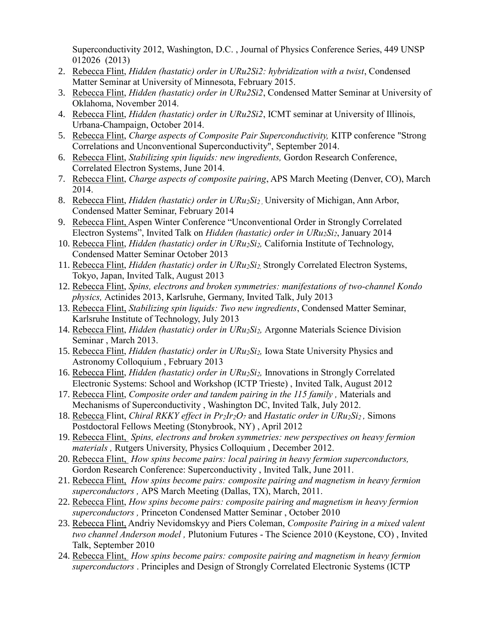Superconductivity 2012, Washington, D.C. , Journal of Physics Conference Series, 449 UNSP 012026 (2013)

- 2. Rebecca Flint, *Hidden (hastatic) order in URu2Si2: hybridization with a twist*, Condensed Matter Seminar at University of Minnesota, February 2015.
- 3. Rebecca Flint, *Hidden (hastatic) order in URu2Si2*, Condensed Matter Seminar at University of Oklahoma, November 2014.
- 4. Rebecca Flint, *Hidden (hastatic) order in URu2Si2*, ICMT seminar at University of Illinois, Urbana-Champaign, October 2014.
- 5. Rebecca Flint, *Charge aspects of Composite Pair Superconductivity,* KITP conference "Strong Correlations and Unconventional Superconductivity", September 2014.
- 6. Rebecca Flint, *Stabilizing spin liquids: new ingredients,* Gordon Research Conference, Correlated Electron Systems, June 2014.
- 7. Rebecca Flint, *Charge aspects of composite pairing*, APS March Meeting (Denver, CO), March 2014.
- 8. Rebecca Flint, *Hidden (hastatic) order in URu2Si2 ,* University of Michigan, Ann Arbor, Condensed Matter Seminar, February 2014
- 9. Rebecca Flint, Aspen Winter Conference "Unconventional Order in Strongly Correlated Electron Systems", Invited Talk on *Hidden (hastatic) order in URu2Si2*, January 2014
- 10. Rebecca Flint, *Hidden (hastatic) order in URu2Si2,* California Institute of Technology, Condensed Matter Seminar October 2013
- 11. Rebecca Flint, *Hidden (hastatic) order in URu2Si2,* Strongly Correlated Electron Systems, Tokyo, Japan, Invited Talk, August 2013
- 12. Rebecca Flint, *Spins, electrons and broken symmetries: manifestations of two-channel Kondo physics,* Actinides 2013, Karlsruhe, Germany, Invited Talk, July 2013
- 13. Rebecca Flint, *Stabilizing spin liquids: Two new ingredients*, Condensed Matter Seminar, Karlsruhe Institute of Technology, July 2013
- 14. Rebecca Flint, *Hidden (hastatic) order in URu2Si2,* Argonne Materials Science Division Seminar , March 2013.
- 15. Rebecca Flint, *Hidden (hastatic) order in URu2Si2,* Iowa State University Physics and Astronomy Colloquium , February 2013
- 16. Rebecca Flint, *Hidden (hastatic) order in URu2Si2,* Innovations in Strongly Correlated Electronic Systems: School and Workshop (ICTP Trieste) , Invited Talk, August 2012
- 17. Rebecca Flint, *Composite order and tandem pairing in the 115 family ,* Materials and Mechanisms of Superconductivity , Washington DC, Invited Talk, July 2012.
- 18. Rebecca Flint, *Chiral RKKY effect in Pr2Ir2O<sup>7</sup>* and *Hastatic order in URu2Si2 ,* Simons Postdoctoral Fellows Meeting (Stonybrook, NY) , April 2012
- 19. Rebecca Flint, *Spins, electrons and broken symmetries: new perspectives on heavy fermion materials ,* Rutgers University, Physics Colloquium , December 2012.
- 20. Rebecca Flint, *How spins become pairs: local pairing in heavy fermion superconductors,*  Gordon Research Conference: Superconductivity , Invited Talk, June 2011.
- 21. Rebecca Flint, *How spins become pairs: composite pairing and magnetism in heavy fermion superconductors ,* APS March Meeting (Dallas, TX), March, 2011.
- 22. Rebecca Flint, *How spins become pairs: composite pairing and magnetism in heavy fermion superconductors ,* Princeton Condensed Matter Seminar , October 2010
- 23. Rebecca Flint, Andriy Nevidomskyy and Piers Coleman, *Composite Pairing in a mixed valent two channel Anderson model ,* Plutonium Futures - The Science 2010 (Keystone, CO) , Invited Talk, September 2010
- 24. Rebecca Flint, *How spins become pairs: composite pairing and magnetism in heavy fermion superconductors* . Principles and Design of Strongly Correlated Electronic Systems (ICTP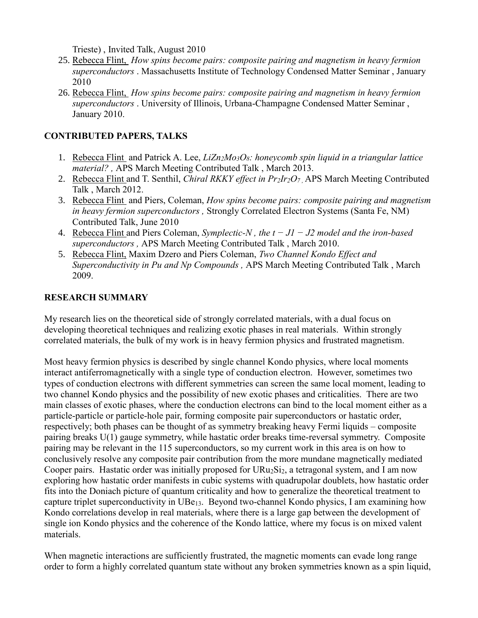Trieste) , Invited Talk, August 2010

- 25. Rebecca Flint, *How spins become pairs: composite pairing and magnetism in heavy fermion superconductors* . Massachusetts Institute of Technology Condensed Matter Seminar , January 2010
- 26. Rebecca Flint, *How spins become pairs: composite pairing and magnetism in heavy fermion superconductors* . University of Illinois, Urbana-Champagne Condensed Matter Seminar , January 2010.

# **CONTRIBUTED PAPERS, TALKS**

- 1. Rebecca Flint and Patrick A. Lee, *LiZn2Mo3O8: honeycomb spin liquid in a triangular lattice material? ,* APS March Meeting Contributed Talk , March 2013.
- 2. Rebecca Flint and T. Senthil, *Chiral RKKY effect in Pr2Ir2O7 ,* APS March Meeting Contributed Talk , March 2012.
- 3. Rebecca Flint and Piers, Coleman, *How spins become pairs: composite pairing and magnetism in heavy fermion superconductors ,* Strongly Correlated Electron Systems (Santa Fe, NM) Contributed Talk, June 2010
- 4. Rebecca Flint and Piers Coleman, *Symplectic-N , the t − J1 − J2 model and the iron-based superconductors ,* APS March Meeting Contributed Talk , March 2010.
- 5. Rebecca Flint, Maxim Dzero and Piers Coleman, *Two Channel Kondo Effect and Superconductivity in Pu and Np Compounds ,* APS March Meeting Contributed Talk , March 2009.

## **RESEARCH SUMMARY**

My research lies on the theoretical side of strongly correlated materials, with a dual focus on developing theoretical techniques and realizing exotic phases in real materials. Within strongly correlated materials, the bulk of my work is in heavy fermion physics and frustrated magnetism.

Most heavy fermion physics is described by single channel Kondo physics, where local moments interact antiferromagnetically with a single type of conduction electron. However, sometimes two types of conduction electrons with different symmetries can screen the same local moment, leading to two channel Kondo physics and the possibility of new exotic phases and criticalities. There are two main classes of exotic phases, where the conduction electrons can bind to the local moment either as a particle-particle or particle-hole pair, forming composite pair superconductors or hastatic order, respectively; both phases can be thought of as symmetry breaking heavy Fermi liquids – composite pairing breaks U(1) gauge symmetry, while hastatic order breaks time-reversal symmetry. Composite pairing may be relevant in the 115 superconductors, so my current work in this area is on how to conclusively resolve any composite pair contribution from the more mundane magnetically mediated Cooper pairs. Hastatic order was initially proposed for  $URu_2Si_2$ , a tetragonal system, and I am now exploring how hastatic order manifests in cubic systems with quadrupolar doublets, how hastatic order fits into the Doniach picture of quantum criticality and how to generalize the theoretical treatment to capture triplet superconductivity in UBe13. Beyond two-channel Kondo physics, I am examining how Kondo correlations develop in real materials, where there is a large gap between the development of single ion Kondo physics and the coherence of the Kondo lattice, where my focus is on mixed valent materials.

When magnetic interactions are sufficiently frustrated, the magnetic moments can evade long range order to form a highly correlated quantum state without any broken symmetries known as a spin liquid,